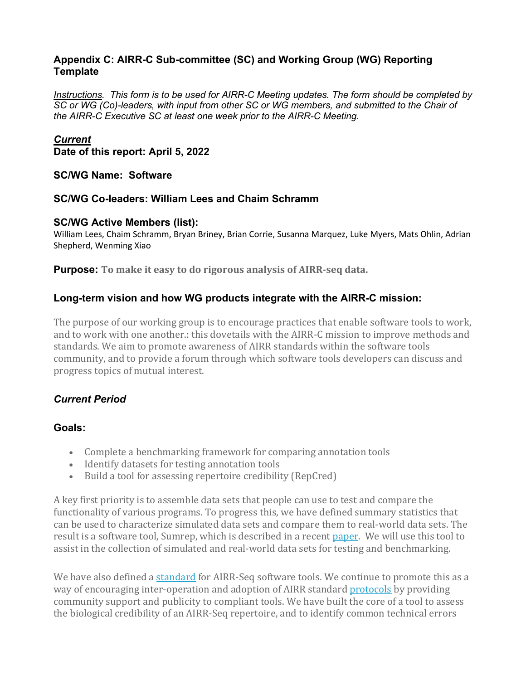### **Appendix C: AIRR-C Sub-committee (SC) and Working Group (WG) Reporting Template**

*Instructions. This form is to be used for AIRR-C Meeting updates. The form should be completed by SC or WG (Co)-leaders, with input from other SC or WG members, and submitted to the Chair of the AIRR-C Executive SC at least one week prior to the AIRR-C Meeting.*

### *Current*

**Date of this report: April 5, 2022**

#### **SC/WG Name: Software**

#### **SC/WG Co-leaders: William Lees and Chaim Schramm**

#### **SC/WG Active Members (list):**

William Lees, Chaim Schramm, Bryan Briney, Brian Corrie, Susanna Marquez, Luke Myers, Mats Ohlin, Adrian Shepherd, Wenming Xiao

**Purpose: To make it easy to do rigorous analysis of AIRR-seq data.**

### **Long-term vision and how WG products integrate with the AIRR-C mission:**

The purpose of our working group is to encourage practices that enable software tools to work, and to work with one another.: this dovetails with the AIRR-C mission to improve methods and standards. We aim to promote awareness of AIRR standards within the software tools community, and to provide a forum through which software tools developers can discuss and progress topics of mutual interest.

### *Current Period*

#### **Goals:**

- Complete a benchmarking framework for comparing annotation tools
- Identify datasets for testing annotation tools
- Build a tool for assessing repertoire credibility (RepCred)

A key first priority is to assemble data sets that people can use to test and compare the functionality of various programs. To progress this, we have defined summary statistics that can be used to characterize simulated data sets and compare them to real-world data sets. The result is a software tool, Sumrep, which is described in a recent [paper.](https://www.frontiersin.org/articles/10.3389/fimmu.2019.02533/full) We will use this tool to assist in the collection of simulated and real-world data sets for testing and benchmarking.

We have also defined a [standard](https://docs.airr-community.org/en/stable/swtools/overview.html) for AIRR-Seq software tools. We continue to promote this as a way of encouraging inter-operation and adoption of AIRR standard [protocols](https://docs.airr-community.org/en/stable/index.html) by providing community support and publicity to compliant tools. We have built the core of a tool to assess the biological credibility of an AIRR-Seq repertoire, and to identify common technical errors